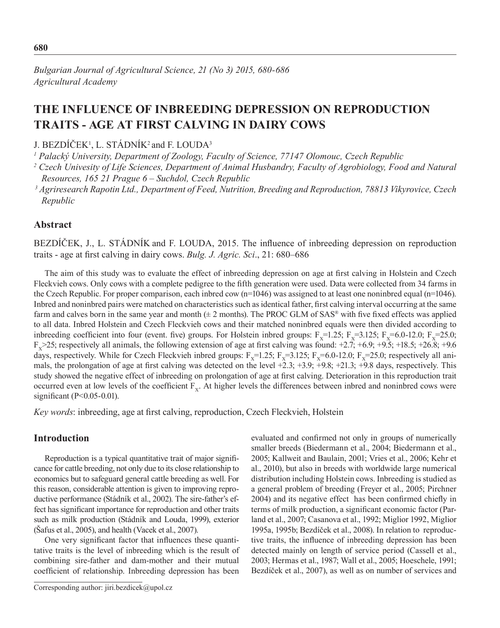# **The influence of inbreeding depression on reproduction traits - age at first calving in dairy cows**

J.  $BEZDICEK<sup>1</sup>$ , L. STADNIK<sup>2</sup> and F. LOUDA<sup>3</sup>

<sup>1</sup> Palacký University, Department of Zoology, Faculty of Science, 77147 Olomouc, Czech Republic

<sup>2</sup> Czech Univesity of Life Sciences, Department of Animal Husbandry, Faculty of Agrobiology, Food and Natural *Resources, 165 21 Prague 6 – Suchdol, Czech Republic*

 *3 Agriresearch Rapotin Ltd., Department of Feed, Nutrition, Breeding and Reproduction, 78813 Vikyrovice, Czech Republic*

## **Abstract**

BEZDÍČEK, J., L. STÁDNÍK and F. LOUDA, 2015. The influence of inbreeding depression on reproduction traits - age at first calving in dairy cows. *Bulg. J. Agric. Sci*., 21: 680–686

The aim of this study was to evaluate the effect of inbreeding depression on age at first calving in Holstein and Czech Fleckvieh cows. Only cows with a complete pedigree to the fifth generation were used. Data were collected from 34 farms in the Czech Republic. For proper comparison, each inbred cow (n=1046) was assigned to at least one noninbred equal (n=1046). Inbred and noninbred pairs were matched on characteristics such as identical father, first calving interval occurring at the same farm and calves born in the same year and month  $(\pm 2 \text{ months})$ . The PROC GLM of SAS® with five fixed effects was applied to all data. Inbred Holstein and Czech Fleckvieh cows and their matched noninbred equals were then divided according to inbreeding coefficient into four (event. five) groups. For Holstein inbred groups:  $F_x=1.25$ ;  $F_x=3.125$ ;  $F_x=6.0-12.0$ ;  $F_x=25.0$ ;  $F_x$  > 25; respectively all animals, the following extension of age at first calving was found: +2.7; +6.9; +9.5; +18.5; +26.8; +9.6 days, respectively. While for Czech Fleckvieh inbred groups:  $F_x=1.25$ ;  $F_x=3.125$ ;  $F_x=6.0-12.0$ ;  $F_x=25.0$ ; respectively all animals, the prolongation of age at first calving was detected on the level +2.3; +3.9; +9.8; +21.3; +9.8 days, respectively. This study showed the negative effect of inbreeding on prolongation of age at first calving. Deterioration in this reproduction trait occurred even at low levels of the coefficient  $F<sub>x</sub>$ . At higher levels the differences between inbred and noninbred cows were significant (P<0.05-0.01).

*Key words*: inbreeding, age at first calving, reproduction, Czech Fleckvieh, Holstein

## **Introduction**

Reproduction is a typical quantitative trait of major significance for cattle breeding, not only due to its close relationship to economics but to safeguard general cattle breeding as well. For this reason, considerable attention is given to improving reproductive performance (Stádník et al., 2002). The sire-father's effect has significant importance for reproduction and other traits such as milk production (Stádník and Louda, 1999), exterior (Šafus et al., 2005), and health (Vacek et al., 2007).

One very significant factor that influences these quantitative traits is the level of inbreeding which is the result of combining sire-father and dam-mother and their mutual coefficient of relationship. Inbreeding depression has been evaluated and confirmed not only in groups of numerically smaller breeds (Biedermann et al., 2004; Biedermann et al., 2005; Kallweit and Baulain, 2001; Vries et al., 2006; Kehr et al., 2010), but also in breeds with worldwide large numerical distribution including Holstein cows. Inbreeding is studied as a general problem of breeding (Freyer et al., 2005; Pirchner 2004) and its negative effect has been confirmed chiefly in terms of milk production, a significant economic factor (Parland et al., 2007; Casanova et al., 1992; Miglior 1992, Miglior 1995a, 1995b; Bezdíček et al., 2008). In relation to reproductive traits, the influence of inbreeding depression has been detected mainly on length of service period (Cassell et al., 2003; Hermas et al., 1987; Wall et al., 2005; Hoeschele, 1991; Bezdíček et al., 2007), as well as on number of services and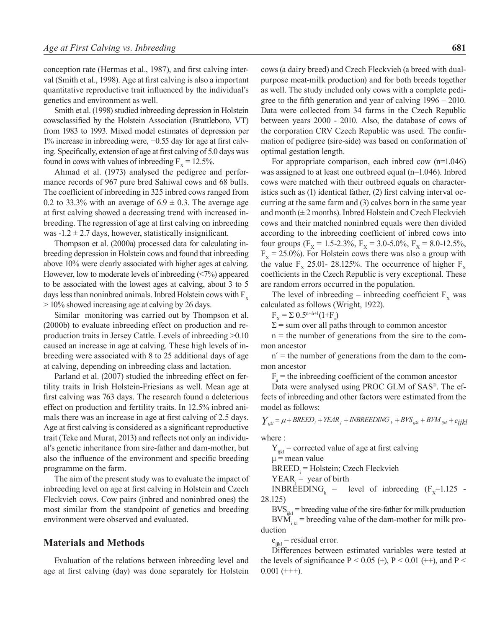conception rate (Hermas et al., 1987), and first calving interval (Smith et al., 1998). Age at first calving is also a important quantitative reproductive trait influenced by the individual's genetics and environment as well.

Smith et al. (1998) studied inbreeding depression in Holstein cowsclassified by the Holstein Association (Brattleboro, VT) from 1983 to 1993. Mixed model estimates of depression per 1% increase in inbreeding were, +0.55 day for age at first calving. Specifically, extension of age at first calving of 5.0 days was found in cows with values of inbreeding  $F_y = 12.5\%$ .

Ahmad et al. (1973) analysed the pedigree and performance records of 967 pure bred Sahiwal cows and 68 bulls. The coefficient of inbreeding in 325 inbred cows ranged from 0.2 to 33.3% with an average of  $6.9 \pm 0.3$ . The average age at first calving showed a decreasing trend with increased inbreeding. The regression of age at first calving on inbreeding was  $-1.2 \pm 2.7$  days, however, statistically insignificant.

Thompson et al. (2000a) processed data for calculating inbreeding depression in Holstein cows and found that inbreeding above 10% were clearly associated with higher ages at calving. However, low to moderate levels of inbreeding (<7%) appeared to be associated with the lowest ages at calving, about 3 to 5 days less than noninbred animals. Inbred Holstein cows with  $F_{\rm v}$ > 10% showed increasing age at calving by 26 days.

Similar monitoring was carried out by Thompson et al. (2000b) to evaluate inbreeding effect on production and reproduction traits in Jersey Cattle. Levels of inbreeding >0.10 caused an increase in age at calving. These high levels of inbreeding were associated with 8 to 25 additional days of age at calving, depending on inbreeding class and lactation.

Parland et al. (2007) studied the inbreeding effect on fertility traits in Irish Holstein-Friesians as well. Mean age at first calving was 763 days. The research found a deleterious effect on production and fertility traits. In 12.5% inbred animals there was an increase in age at first calving of 2.5 days. Age at first calving is considered as a significant reproductive trait (Teke and Murat, 2013) and reflects not only an individual's genetic inheritance from sire-father and dam-mother, but also the influence of the environment and specific breeding programme on the farm.

The aim of the present study was to evaluate the impact of inbreeding level on age at first calving in Holstein and Czech Fleckvieh cows. Cow pairs (inbred and noninbred ones) the most similar from the standpoint of genetics and breeding environment were observed and evaluated.

#### **Materials and Methods**

Evaluation of the relations between inbreeding level and age at first calving (day) was done separately for Holstein

cows (a dairy breed) and Czech Fleckvieh (a breed with dualpurpose meat-milk production) and for both breeds together as well. The study included only cows with a complete pedigree to the fifth generation and year of calving 1996 – 2010. Data were collected from 34 farms in the Czech Republic between years 2000 - 2010. Also, the database of cows of the corporation CRV Czech Republic was used. The confirmation of pedigree (sire-side) was based on conformation of optimal gestation length.

For appropriate comparison, each inbred cow (n=1.046) was assigned to at least one outbreed equal (n=1.046). Inbred cows were matched with their outbreed equals on characteristics such as (1) identical father, (2) first calving interval occurring at the same farm and (3) calves born in the same year and month  $(\pm 2 \text{ months})$ . Inbred Holstein and Czech Fleckvieh cows and their matched noninbred equals were then divided according to the inbreeding coefficient of inbred cows into four groups ( $F_x = 1.5$ -2.3%,  $F_y = 3.0$ -5.0%,  $F_y = 8.0$ -12.5%,  $F<sub>x</sub>$  = 25.0%). For Holstein cows there was also a group with the value  $F_x$  25.01- 28.125%. The occurrence of higher  $F_x$ coefficients in the Czech Republic is very exceptional. These are random errors occurred in the population.

The level of inbreeding – inbreeding coefficient  $F<sub>x</sub>$  was calculated as follows (Wright, 1922).

 $F_X = \sum 0.5^{n+i+1}(1+F_a)$ 

 $\Sigma$  = sum over all paths through to common ancestor

 $n =$  the number of generations from the sire to the common ancestor

 $n'$  = the number of generations from the dam to the common ancestor

 $F_a$  = the inbreeding coefficient of the common ancestor

Data were analysed using PROC GLM of SAS®. The effects of inbreeding and other factors were estimated from the model as follows:

 $Y_{ijkl} = \mu + BREED_i + YEAR_j + INBREEDING_k + BVS_{ijkl} + BVM_{ijkl} + e_{ijkl}$ 

where :

 $Y_{ijkl}$  = corrected value of age at first calving  $\mu$  = mean value BREED<sub>i</sub> = Holstein; Czech Fleckvieh  $YEAR_j = year of birth$ 

INBREEDING<sub>k</sub> = level of inbreeding  $(F<sub>x</sub>=1.125$  -28.125)

 $\text{BVS}_{ijkl}$  = breeding value of the sire-father for milk production  $BVM_{ijkl}$  = breeding value of the dam-mother for milk production

 $e_{ijkl}$  = residual error.

Differences between estimated variables were tested at the levels of significance  $P < 0.05$  (+),  $P < 0.01$  (++), and P <  $0.001 (+++)$ .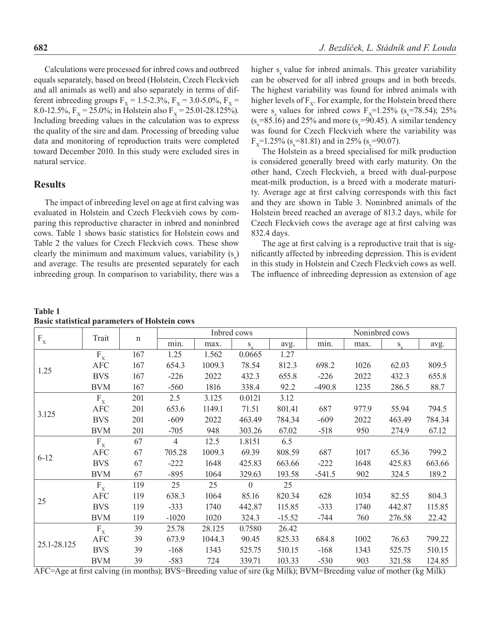Calculations were processed for inbred cows and outbreed equals separately, based on breed (Holstein, Czech Fleckvieh and all animals as well) and also separately in terms of different inbreeding groups  $F_X = 1.5$ -2.3%,  $F_X = 3.0$ -5.0%,  $F_X =$ 8.0-12.5%,  $F_x = 25.0\%$ ; in Holstein also  $F_x = 25.01-28.125\%$ ). Including breeding values in the calculation was to express the quality of the sire and dam. Processing of breeding value data and monitoring of reproduction traits were completed toward December 2010. In this study were excluded sires in natural service.

### **Results**

The impact of inbreeding level on age at first calving was evaluated in Holstein and Czech Fleckvieh cows by comparing this reproductive character in inbred and noninbred cows. Table 1 shows basic statistics for Holstein cows and Table 2 the values for Czech Fleckvieh cows. These show clearly the minimum and maximum values, variability  $(s_x)$ and average. The results are presented separately for each inbreeding group. In comparison to variability, there was a

higher s value for inbred animals. This greater variability can be observed for all inbred groups and in both breeds. The highest variability was found for inbred animals with higher levels of  $F_x$ . For example, for the Holstein breed there were  $s_x$  values for inbred cows  $F_x=1.25\%$  ( $s_x=78.54$ ); 25%  $(s_x=85.16)$  and 25% and more  $(s_x=90.45)$ . A similar tendency was found for Czech Fleckvieh where the variability was  $F_x=1.25\%$  (s<sub>x</sub>=81.81) and in 25% (s<sub>x</sub>=90.07).

The Holstein as a breed specialised for milk production is considered generally breed with early maturity. On the other hand, Czech Fleckvieh, a breed with dual-purpose meat-milk production, is a breed with a moderate maturity. Average age at first calving corresponds with this fact and they are shown in Table 3. Noninbred animals of the Holstein breed reached an average of 813.2 days, while for Czech Fleckvieh cows the average age at first calving was 832.4 days.

The age at first calving is a reproductive trait that is significantly affected by inbreeding depression. This is evident in this study in Holstein and Czech Fleckvieh cows as well. The influence of inbreeding depression as extension of age

| <b>Table 1</b> |                                                      |
|----------------|------------------------------------------------------|
|                | <b>Basic statistical parameters of Holstein cows</b> |

| $\mathbf{F}_\mathbf{X}$   | Trait                     |             | Inbred cows    |        |                | Noninbred cows                          |          |       |         |        |
|---------------------------|---------------------------|-------------|----------------|--------|----------------|-----------------------------------------|----------|-------|---------|--------|
|                           |                           | $\mathbf n$ | min.           | max.   | $S_{\ldots}$   | avg.                                    | min.     | max.  | $S_{v}$ | avg.   |
|                           | $F_X$                     | 167         | 1.25           | 1.562  | 0.0665         | 1.27                                    |          |       |         |        |
|                           | <b>AFC</b>                | 167         | 654.3          | 1009.3 | 78.54          | 812.3                                   | 698.2    | 1026  | 62.03   | 809.5  |
| 1.25                      | <b>BVS</b>                | 167         | $-226$         | 2022   | 432.3          | 655.8                                   | $-226$   | 2022  | 432.3   | 655.8  |
|                           | <b>BVM</b>                | 167         | $-560$         | 1816   | 338.4          | 92.2                                    | $-490.8$ | 1235  | 286.5   | 88.7   |
|                           | $F_X$                     | 201         | 2.5            | 3.125  | 0.0121         | 3.12                                    |          |       |         |        |
|                           | <b>AFC</b>                | 201         | 653.6          | 1149.1 | 71.51          | 801.41                                  | 687      | 977.9 | 55.94   | 794.5  |
| 3.125                     | <b>BVS</b>                | 201         | $-609$         | 2022   | 463.49         | 784.34                                  | $-609$   | 2022  | 463.49  | 784.34 |
|                           | <b>BVM</b>                | 201         | $-705$         | 948    | 303.26         | 67.02                                   | $-518$   | 950   | 274.9   | 67.12  |
|                           | $F_X$                     | 67          | $\overline{4}$ | 12.5   | 1.8151         | 6.5                                     |          |       |         |        |
|                           | $\rm{AFC}$                | 67          | 705.28         | 1009.3 | 69.39          | 808.59                                  | 687      | 1017  | 65.36   | 799.2  |
| $6 - 12$                  | <b>BVS</b>                | 67          | $-222$         | 1648   | 425.83         | 663.66                                  | $-222$   | 1648  | 425.83  | 663.66 |
|                           | <b>BVM</b>                | 67          | $-895$         | 1064   | 329.63         | 193.58                                  | $-541.5$ | 902   | 324.5   | 189.2  |
|                           | $F_X$                     | 119         | 25             | 25     | $\overline{0}$ | 25                                      |          |       |         |        |
| 25                        | <b>AFC</b>                | 119         | 638.3          | 1064   | 85.16          | 820.34                                  | 628      | 1034  | 82.55   | 804.3  |
|                           | <b>BVS</b>                | 119         | $-333$         | 1740   | 442.87         | 115.85                                  | $-333$   | 1740  | 442.87  | 115.85 |
|                           | <b>BVM</b>                | 119         | $-1020$        | 1020   | 324.3          | $-15.52$                                | -744     | 760   | 276.58  | 22.42  |
|                           | $\mathbf{F}_{\mathbf{X}}$ | 39          | 25.78          | 28.125 | 0.7580         | 26.42                                   |          |       |         |        |
|                           | <b>AFC</b>                | 39          | 673.9          | 1044.3 | 90.45          | 825.33                                  | 684.8    | 1002  | 76.63   | 799.22 |
| 25.1-28.125<br>$\sqrt{2}$ | <b>BVS</b>                | 39          | $-168$         | 1343   | 525.75         | 510.15                                  | $-168$   | 1343  | 525.75  | 510.15 |
|                           | <b>BVM</b>                | 39          | $-583$<br>P(T) | 724    | 339.71         | 103.33<br>$\mathbf{R}$ and $\mathbf{R}$ | $-530$   | 903   | 321.58  | 124.85 |

AFC=Age at first calving (in months); BVS=Breeding value of sire (kg Milk); BVM=Breeding value of mother (kg Milk)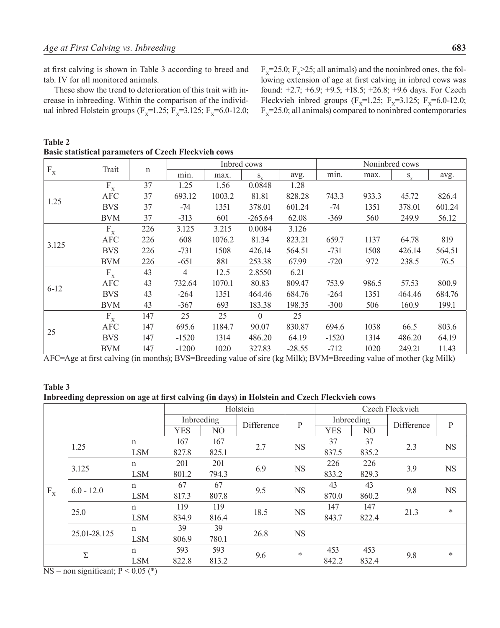at first calving is shown in Table 3 according to breed and tab. IV for all monitored animals.

These show the trend to deterioration of this trait with increase in inbreeding. Within the comparison of the individual inbred Holstein groups ( $F_x=1.25$ ;  $F_x=3.125$ ;  $F_x=6.0-12.0$ ;

 $F<sub>x</sub>=25.0; F<sub>x</sub>>25;$  all animals) and the noninbred ones, the following extension of age at first calving in inbred cows was found: +2.7; +6.9; +9.5; +18.5; +26.8; +9.6 days. For Czech Fleckvieh inbred groups (F<sub>x</sub>=1.25; F<sub>x</sub>=3.125; F<sub>x</sub>=6.0-12.0;  $F<sub>x</sub>=25.0$ ; all animals) compared to noninbred contemporaries

**Table 2 Basic statistical parameters of Czech Fleckvieh cows**

|                         | Trait          | $\mathbf n$ | Inbred cows                                       |                 |                         | Noninbred cows                            |               |       |         |                |
|-------------------------|----------------|-------------|---------------------------------------------------|-----------------|-------------------------|-------------------------------------------|---------------|-------|---------|----------------|
| $\mathbf{F}_\mathbf{X}$ |                |             | min.                                              | max.            | S                       | avg.                                      | min.          | max.  | $S_{v}$ | avg.           |
|                         | $F_X$          | 37          | 1.25                                              | 1.56            | 0.0848                  | 1.28                                      |               |       |         |                |
|                         | <b>AFC</b>     | 37          | 693.12                                            | 1003.2          | 81.81                   | 828.28                                    | 743.3         | 933.3 | 45.72   | 826.4          |
| 1.25                    | <b>BVS</b>     | 37          | -74                                               | 1351            | 378.01                  | 601.24                                    | $-74$         | 1351  | 378.01  | 601.24         |
|                         | <b>BVM</b>     | 37          | $-313$                                            | 601             | $-265.64$               | 62.08                                     | $-369$        | 560   | 249.9   | 56.12          |
|                         | $F_X$          | 226         | 3.125                                             | 3.215           | 0.0084                  | 3.126                                     |               |       |         |                |
| 3.125                   | <b>AFC</b>     | 226         | 608                                               | 1076.2          | 81.34                   | 823.21                                    | 659.7         | 1137  | 64.78   | 819            |
|                         | <b>BVS</b>     | 226         | $-731$                                            | 1508            | 426.14                  | 564.51                                    | $-731$        | 1508  | 426.14  | 564.51         |
|                         | BVM            | 226         | $-651$                                            | 881             | 253.38                  | 67.99                                     | $-720$        | 972   | 238.5   | 76.5           |
|                         | $F_X$          | 43          | $\overline{4}$                                    | 12.5            | 2.8550                  | 6.21                                      |               |       |         |                |
| $6-12$                  | AFC            | 43          | 732.64                                            | 1070.1          | 80.83                   | 809.47                                    | 753.9         | 986.5 | 57.53   | 800.9          |
|                         | <b>BVS</b>     | 43          | $-264$                                            | 1351            | 464.46                  | 684.76                                    | $-264$        | 1351  | 464.46  | 684.76         |
|                         | BVM            | 43          | $-367$                                            | 693             | 183.38                  | 198.35                                    | $-300$        | 506   | 160.9   | 199.1          |
|                         | $F_X$          | 147         | 25                                                | 25              | $\theta$                | 25                                        |               |       |         |                |
| 25                      | AFC            | 147         | 695.6                                             | 1184.7          | 90.07                   | 830.87                                    | 694.6         | 1038  | 66.5    | 803.6          |
|                         | <b>BVS</b>     | 147         | $-1520$                                           | 1314            | 486.20                  | 64.19                                     | $-1520$       | 1314  | 486.20  | 64.19          |
| $\sqrt{2}$<br>$\sim$    | BVM<br>$\cdot$ | 147<br>(1)  | $-1200$<br>$\mathbf{D}$ $\mathbf{I}$ $\mathbf{A}$ | 1020<br>$\cdot$ | 327.83<br>$\sim$ $\sim$ | $-28.55$<br>$1.011 \times N11.0 \times N$ | $-712$<br>1.1 | 1020  | 249.21  | 11.43<br>3.511 |

AFC=Age at first calving (in months); BVS=Breeding value of sire (kg Milk); BVM=Breeding value of mother (kg Milk)

#### **Table 3**

**Inbreeding depression on age at first calving (in days) in Holstein and Czech Fleckvieh cows**

|                           | Holstein                                                                                                                            |             |            |       |            |           | Czech Fleckvieh |       |            |              |
|---------------------------|-------------------------------------------------------------------------------------------------------------------------------------|-------------|------------|-------|------------|-----------|-----------------|-------|------------|--------------|
|                           |                                                                                                                                     |             | Inbreeding |       | Difference | ${\bf P}$ | Inbreeding      |       | Difference | $\mathbf{P}$ |
|                           |                                                                                                                                     |             | <b>YES</b> | NO    |            |           | <b>YES</b>      | NO    |            |              |
|                           | 1.25                                                                                                                                | $\mathbf n$ | 167        | 167   | 2.7        | <b>NS</b> | 37              | 37    | 2.3        | <b>NS</b>    |
|                           |                                                                                                                                     | <b>LSM</b>  | 827.8      | 825.1 |            |           | 837.5           | 835.2 |            |              |
|                           | 3.125                                                                                                                               | n           | 201        | 201   | 6.9        | <b>NS</b> | 226             | 226   | 3.9        | <b>NS</b>    |
|                           |                                                                                                                                     | <b>LSM</b>  | 801.2      | 794.3 |            |           | 833.2           | 829.3 |            |              |
|                           | $6.0 - 12.0$                                                                                                                        | n           | 67         | 67    | 9.5        | <b>NS</b> | 43              | 43    | 9.8        | <b>NS</b>    |
| $\mathbf{F}_{\mathbf{X}}$ |                                                                                                                                     | <b>LSM</b>  | 817.3      | 807.8 |            |           | 870.0           | 860.2 |            |              |
|                           | 25.0                                                                                                                                | $\mathbf n$ | 119        | 119   |            | <b>NS</b> | 147             | 147   | 21.3       | $\ast$       |
|                           |                                                                                                                                     | <b>LSM</b>  | 834.9      | 816.4 | 18.5       |           | 843.7           | 822.4 |            |              |
|                           |                                                                                                                                     | n           | 39         | 39    | 26.8       | <b>NS</b> |                 |       |            |              |
|                           | 25.01-28.125                                                                                                                        | <b>LSM</b>  | 806.9      | 780.1 |            |           |                 |       |            |              |
|                           |                                                                                                                                     | $\mathbf n$ | 593        | 593   |            | $\ast$    | 453             | 453   | 9.8        | $\ast$       |
|                           | Σ                                                                                                                                   | <b>LSM</b>  | 822.8      | 813.2 | 9.6        |           | 842.2           | 832.4 |            |              |
|                           | $\mathbf{M} = \mathbf{M} \times \mathbf{M}$ $\mathbf{M} = \mathbf{M} \times \mathbf{M}$ $\mathbf{M} = \mathbf{M} \times \mathbf{M}$ |             |            |       |            |           |                 |       |            |              |

 $NS =$  non significant;  $P \le 0.05$  (\*)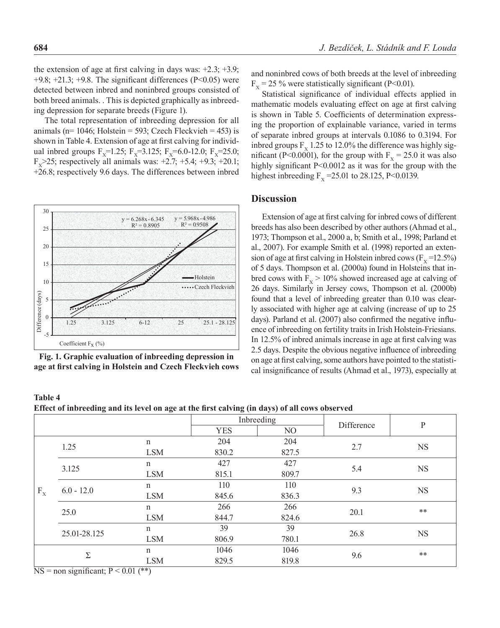the extension of age at first calving in days was:  $+2.3$ ;  $+3.9$ ;  $+9.8$ ;  $+21.3$ ;  $+9.8$ . The significant differences (P<0.05) were detected between inbred and noninbred groups consisted of both breed animals. . This is depicted graphically as inbreeding depression for separate breeds (Figure 1).

The total representation of inbreeding depression for all animals ( $n= 1046$ ; Holstein = 593; Czech Fleckvieh = 453) is shown in Table 4. Extension of age at first calving for individual inbred groups  $F_x=1.25$ ;  $F_x=3.125$ ;  $F_x=6.0-12.0$ ;  $F_x=25.0$ ;  $F_v$  > 25; respectively all animals was: +2.7; +5.4; +9.3; +20.1; +26.8; respectively 9.6 days. The differences between inbred





and noninbred cows of both breeds at the level of inbreeding  $F<sub>x</sub>$  = 25 % were statistically significant (P<0.01).

Statistical significance of individual effects applied in mathematic models evaluating effect on age at first calving is shown in Table 5. Coefficients of determination expressing the proportion of explainable variance, varied in terms of separate inbred groups at intervals 0.1086 to 0.3194. For inbred groups  $F_v$  1.25 to 12.0% the difference was highly significant (P<0.0001), for the group with  $F<sub>x</sub> = 25.0$  it was also highly significant P<0.0012 as it was for the group with the highest inbreeding  $F_v = 25.01$  to 28.125, P<0.0139.

#### **Discussion**

Extension of age at first calving for inbred cows of different breeds has also been described by other authors (Ahmad et al., 1973; Thompson et al., 2000 a, b; Smith et al., 1998; Parland et al., 2007). For example Smith et al. (1998) reported an extension of age at first calving in Holstein inbred cows  $(F_v = 12.5\%)$ of 5 days. Thompson et al. (2000a) found in Holsteins that inbred cows with  $F_x > 10\%$  showed increased age at calving of 26 days. Similarly in Jersey cows, Thompson et al. (2000b) found that a level of inbreeding greater than 0.10 was clearly associated with higher age at calving (increase of up to 25 days). Parland et al. (2007) also confirmed the negative influence of inbreeding on fertility traits in Irish Holstein-Friesians. In 12.5% of inbred animals increase in age at first calving was 2.5 days. Despite the obvious negative influence of inbreeding on age at first calving, some authors have pointed to the statistical insignificance of results (Ahmad et al., 1973), especially at

#### **Table 4 Effect of inbreeding and its level on age at the first calving (in days) of all cows observed**

|              |                             |                                             |            | Inbreeding | Difference | ${\bf P}$ |  |
|--------------|-----------------------------|---------------------------------------------|------------|------------|------------|-----------|--|
|              |                             |                                             | <b>YES</b> | NO         |            |           |  |
|              | 1.25                        | n                                           | 204        | 204        | 2.7        | <b>NS</b> |  |
|              |                             | <b>LSM</b>                                  | 830.2      | 827.5      |            |           |  |
|              |                             | n                                           | 427        | 427        |            |           |  |
|              | 3.125                       | <b>LSM</b>                                  | 815.1      | 809.7      | 5.4        | <b>NS</b> |  |
|              | $6.0 - 12.0$                | $\mathbf n$                                 | 110        | 110        | 9.3        | <b>NS</b> |  |
| $F_X$        |                             | <b>LSM</b>                                  | 845.6      | 836.3      |            |           |  |
|              | 25.0                        | n                                           | 266        | 266        | 20.1       | **        |  |
|              |                             | <b>LSM</b>                                  | 844.7      | 824.6      |            |           |  |
|              |                             | n                                           | 39         | 39         | 26.8       |           |  |
|              | 25.01-28.125                | <b>LSM</b>                                  | 806.9      | 780.1      |            | <b>NS</b> |  |
|              |                             | n                                           | 1046       | 1046       |            | $***$     |  |
|              | Σ                           | <b>LSM</b>                                  | 829.5      | 819.8      | 9.6        |           |  |
| $\mathbf{R}$ | $\bullet$<br>$\cdot$ $\sim$ | $\sqrt{D}$ $\sqrt{2}$ $\sqrt{2}$ $\sqrt{2}$ |            |            |            |           |  |

 $NS =$  non significant;  $P \le 0.01$  (\*\*)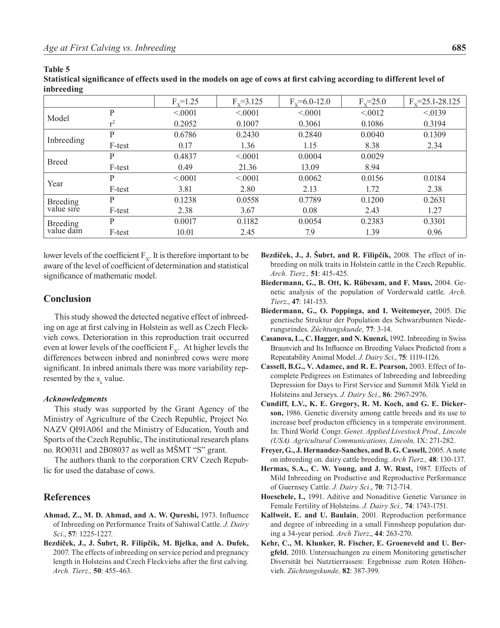| inbreeding            |        |              |               |                    |              |                       |
|-----------------------|--------|--------------|---------------|--------------------|--------------|-----------------------|
|                       |        | $F_v = 1.25$ | $F_v = 3.125$ | $F_y = 6.0 - 12.0$ | $F_v = 25.0$ | $F_v = 25.1 - 28.125$ |
|                       | P      | < 0001       | < 0001        | < 0001             | < 0.012      | < 0139                |
| Model                 | $r^2$  | 0.2052       | 0.1007        | 0.3061             | 0.1086       | 0.3194                |
|                       | P      | 0.6786       | 0.2430        | 0.2840             | 0.0040       | 0.1309                |
| Inbreeding            | F-test | 0.17         | 1.36          | 1.15               | 8.38         | 2.34                  |
|                       | P      | 0.4837       | < 0001        | 0.0004             | 0.0029       |                       |
| <b>Breed</b>          | F-test | 0.49         | 21.36         | 13.09              | 8.94         |                       |
|                       | P      | < 0001       | < 0001        | 0.0062             | 0.0156       | 0.0184                |
| Year                  | F-test | 3.81         | 2.80          | 2.13               | 1.72         | 2.38                  |
| <b>Breeding</b>       | P      | 0.1238       | 0.0558        | 0.7789             | 0.1200       | 0.2631                |
| value sire            | F-test | 2.38         | 3.67          | 0.08               | 2.43         | 1.27                  |
| Breeding<br>value dam | P      | 0.0017       | 0.1182        | 0.0054             | 0.2383       | 0.3301                |
|                       | F-test | 10.01        | 2.45          | 7.9                | 1.39         | 0.96                  |

#### **Table 5**

**Statistical significance of effects used in the models on age of cows at first calving according to different level of inbreeding**

lower levels of the coefficient  $F<sub>x</sub>$ . It is therefore important to be aware of the level of coefficient of determination and statistical significance of mathematic model.

## **Conclusion**

This study showed the detected negative effect of inbreeding on age at first calving in Holstein as well as Czech Fleckvieh cows. Deterioration in this reproduction trait occurred even at lower levels of the coefficient  $F<sub>x</sub>$ . At higher levels the differences between inbred and noninbred cows were more significant. In inbred animals there was more variability represented by the  $s_x$  value.

#### *Acknowledgments*

This study was supported by the Grant Agency of the Ministry of Agriculture of the Czech Republic, Project No. NAZV QI91A061 and the Ministry of Education, Youth and Sports of the Czech Republic, The institutional research plans no. RO0311 and 2B08037 as well as MŠMT "S" grant.

The authors thank to the corporation CRV Czech Republic for used the database of cows.

## **References**

- **Ahmad, Z., M. D. Ahmad, and A. W. Qureshi,** 1973. Influence of Inbreeding on Performance Traits of Sahiwal Cattle. *J. Dairy Sci*., **57**: 1225-1227.
- **Bezdíček, J., J. Šubrt, R. Filipčík, M. Bjelka, and A. Dufek,** 2007. The effects of inbreeding on service period and pregnancy length in Holsteins and Czech Fleckviehs after the first calving. *Arch. Tierz.,* **50**: 455-463.
- **Bezdíček, J., J. Šubrt, and R. Filipčík,** 2008. The effect of inbreeding on milk traits in Holstein cattle in the Czech Republic. *Arch. Tierz.,* **51**: 415-425.
- **Biedermann, G., B. Ott, K. Rübesam, and F. Maus,** 2004. Genetic analysis of the population of Vorderwald cattle. *Arch. Tierz*., **47**: 141-153.
- **Biedermann, G., O. Poppinga, and I. Weitemeyer,** 2005. Die genetische Struktur der Population des Schwarzbunten Niederungsrindes. *Züchtungskunde,* **77**: 3-14.
- **Casanova, L., C. Hagger, and N. Kuenzi,** 1992. Inbreeding in Swiss Braunvieh and Its Influence on Breeding Values Predicted from a Repeatability Animal Model. *J. Dairy Sci*., **75**: 1119-1126.
- **Cassell, B.G., V. Adamec, and R. E. Pearson,** 2003. Effect of Incomplete Pedigrees on Estimates of Inbreeding and Inbreeding Depression for Days to First Service and Summit Milk Yield in Holsteins and Jerseys. *J. Dairy Sci*., **86**: 2967-2976.
- **Cundiff, L.V., K. E. Gregory, R. M. Koch, and G. E. Dickerson,** 1986. Genetic diversity among cattle breeds and its use to increase beef producton efficiency in a temperate environment. In: Third World Congr. *Genet. Applied Livestock Prod., Lincoln (USA). Agricultural Communications, Lincoln,* IX: 271-282.
- **Freyer, G., J. Hernandez-Sanches, and B. G. Cassell,** 2005. A note on inbreeding on. dairy cattle breeding. *Arch Tierz.,* **48**: 130-137.
- **Hermas, S.A., C. W. Young, and J. W. Rust,** 1987. Effects of Mild Inbreeding on Productive and Reproductive Performance of Guernsey Cattle. *J. Dairy Sci*., **70**: 712-714.
- **Hoeschele, I.,** 1991. Aditive and Nonaditive Genetic Variance in Female Fertility of Holsteins. *J. Dairy Sci.,* **74**: 1743-1751.
- **Kallweit, E. and U. Baulain**, 2001. Reproduction performance and degree of inbreeding in a small Finnsheep population during a 34-year period. *Arch Tierz*., **44**: 263-270.
- **Kehr, C., M. Klunker, R. Fischer, E. Groeneveld and U. Bergfeld**, 2010. Untersuchungen zu einem Monitoring genetischer Diversität bei Nutztierrassen: Ergebnisse zum Roten Höhenvieh. *Züchtungskunde,* **82**: 387-399.